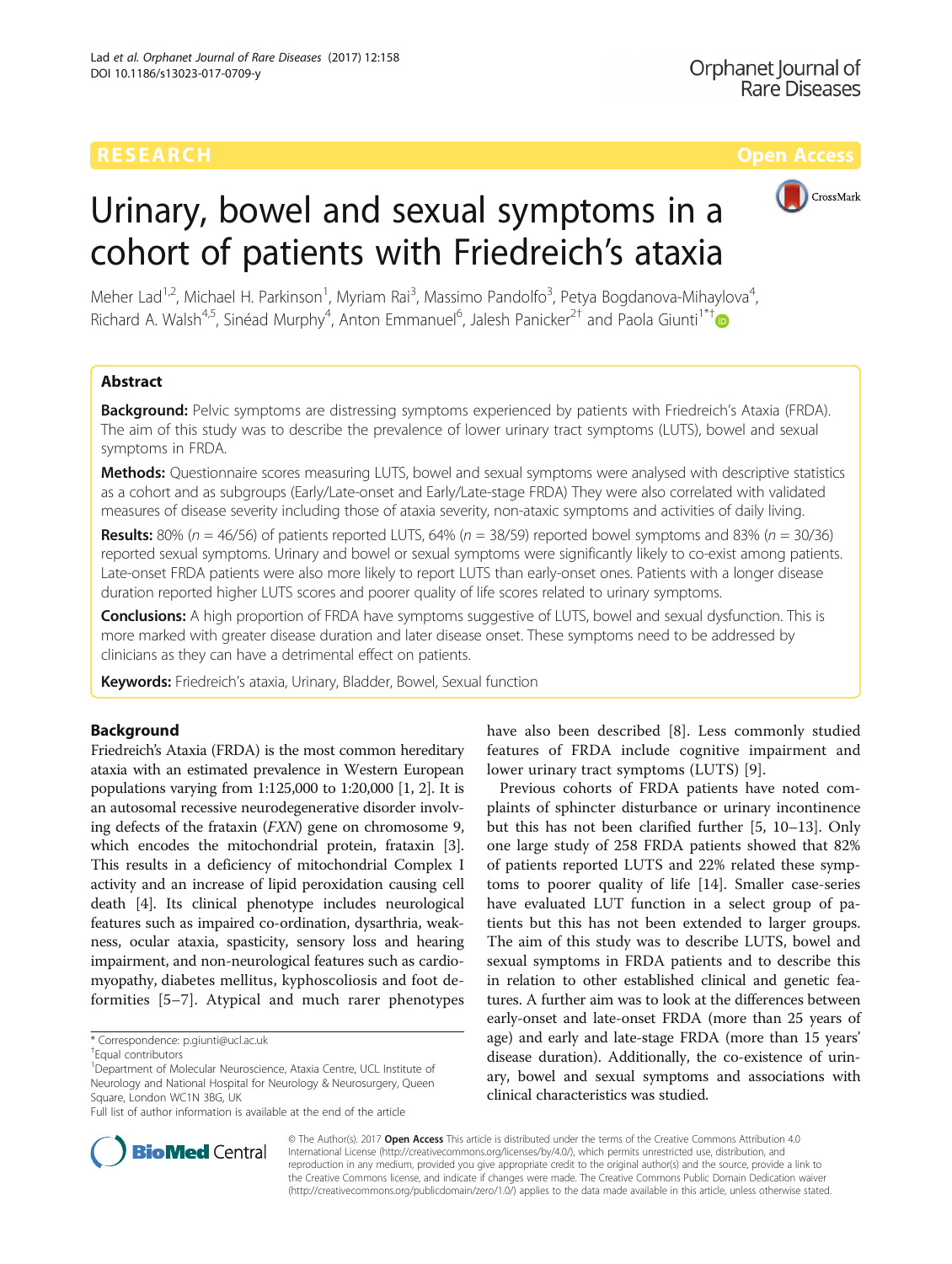# CrossMark

# Urinary, bowel and sexual symptoms in a cohort of patients with Friedreich's ataxia

Meher Lad<sup>1,2</sup>, Michael H. Parkinson<sup>1</sup>, Myriam Rai<sup>3</sup>, Massimo Pandolfo<sup>3</sup>, Petya Bogdanova-Mihaylova<sup>4</sup> , Richard A. Walsh<sup>4,5</sup>, Sinéad Murphy<sup>4</sup>, Anton Emmanuel<sup>6</sup>, Jalesh Panicker<sup>2†</sup> and Paola Giunti<sup>1\*†</sup>

# Abstract

Background: Pelvic symptoms are distressing symptoms experienced by patients with Friedreich's Ataxia (FRDA). The aim of this study was to describe the prevalence of lower urinary tract symptoms (LUTS), bowel and sexual symptoms in FRDA.

Methods: Questionnaire scores measuring LUTS, bowel and sexual symptoms were analysed with descriptive statistics as a cohort and as subgroups (Early/Late-onset and Early/Late-stage FRDA) They were also correlated with validated measures of disease severity including those of ataxia severity, non-ataxic symptoms and activities of daily living.

**Results:** 80% ( $n = 46/56$ ) of patients reported LUTS, 64% ( $n = 38/59$ ) reported bowel symptoms and 83% ( $n = 30/36$ ) reported sexual symptoms. Urinary and bowel or sexual symptoms were significantly likely to co-exist among patients. Late-onset FRDA patients were also more likely to report LUTS than early-onset ones. Patients with a longer disease duration reported higher LUTS scores and poorer quality of life scores related to urinary symptoms.

Conclusions: A high proportion of FRDA have symptoms suggestive of LUTS, bowel and sexual dysfunction. This is more marked with greater disease duration and later disease onset. These symptoms need to be addressed by clinicians as they can have a detrimental effect on patients.

Keywords: Friedreich's ataxia, Urinary, Bladder, Bowel, Sexual function

# Background

Friedreich's Ataxia (FRDA) is the most common hereditary ataxia with an estimated prevalence in Western European populations varying from 1:125,000 to 1:20,000 [\[1](#page-5-0), [2\]](#page-5-0). It is an autosomal recessive neurodegenerative disorder involving defects of the frataxin (FXN) gene on chromosome 9, which encodes the mitochondrial protein, frataxin [[3](#page-5-0)]. This results in a deficiency of mitochondrial Complex I activity and an increase of lipid peroxidation causing cell death [\[4\]](#page-5-0). Its clinical phenotype includes neurological features such as impaired co-ordination, dysarthria, weakness, ocular ataxia, spasticity, sensory loss and hearing impairment, and non-neurological features such as cardiomyopathy, diabetes mellitus, kyphoscoliosis and foot deformities [\[5](#page-5-0)–[7](#page-5-0)]. Atypical and much rarer phenotypes

Full list of author information is available at the end of the article

have also been described [[8\]](#page-5-0). Less commonly studied features of FRDA include cognitive impairment and lower urinary tract symptoms (LUTS) [[9\]](#page-5-0).

Previous cohorts of FRDA patients have noted complaints of sphincter disturbance or urinary incontinence but this has not been clarified further [\[5](#page-5-0), [10](#page-5-0)–[13](#page-5-0)]. Only one large study of 258 FRDA patients showed that 82% of patients reported LUTS and 22% related these symptoms to poorer quality of life [[14\]](#page-5-0). Smaller case-series have evaluated LUT function in a select group of patients but this has not been extended to larger groups. The aim of this study was to describe LUTS, bowel and sexual symptoms in FRDA patients and to describe this in relation to other established clinical and genetic features. A further aim was to look at the differences between early-onset and late-onset FRDA (more than 25 years of age) and early and late-stage FRDA (more than 15 years' disease duration). Additionally, the co-existence of urinary, bowel and sexual symptoms and associations with clinical characteristics was studied.



© The Author(s). 2017 **Open Access** This article is distributed under the terms of the Creative Commons Attribution 4.0 International License [\(http://creativecommons.org/licenses/by/4.0/](http://creativecommons.org/licenses/by/4.0/)), which permits unrestricted use, distribution, and reproduction in any medium, provided you give appropriate credit to the original author(s) and the source, provide a link to the Creative Commons license, and indicate if changes were made. The Creative Commons Public Domain Dedication waiver [\(http://creativecommons.org/publicdomain/zero/1.0/](http://creativecommons.org/publicdomain/zero/1.0/)) applies to the data made available in this article, unless otherwise stated.

<sup>\*</sup> Correspondence: [p.giunti@ucl.ac.uk](mailto:p.giunti@ucl.ac.uk) †

Equal contributors

<sup>&</sup>lt;sup>1</sup>Department of Molecular Neuroscience, Ataxia Centre, UCL Institute of Neurology and National Hospital for Neurology & Neurosurgery, Queen Square, London WC1N 3BG, UK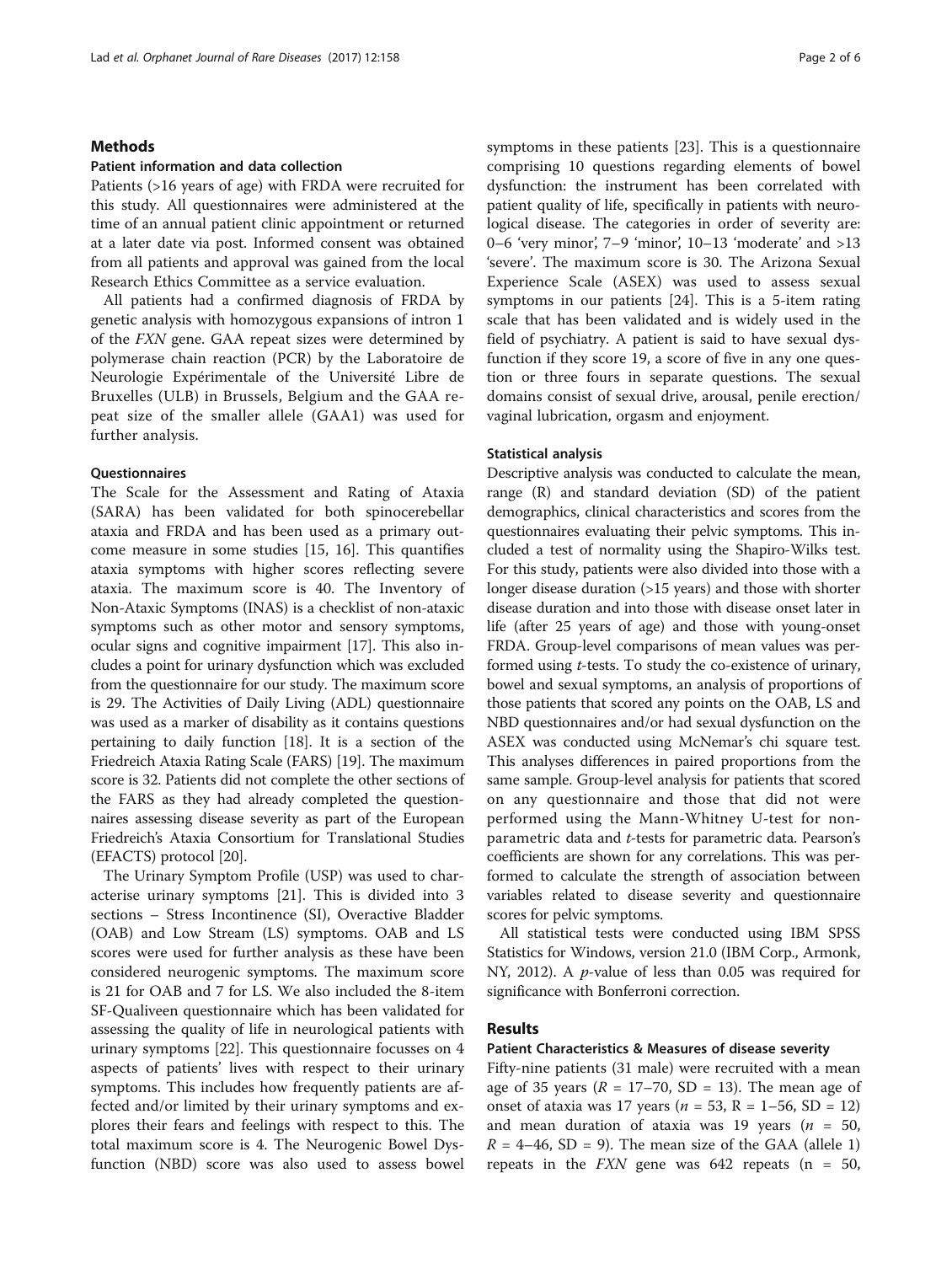# Methods

### Patient information and data collection

Patients (>16 years of age) with FRDA were recruited for this study. All questionnaires were administered at the time of an annual patient clinic appointment or returned at a later date via post. Informed consent was obtained from all patients and approval was gained from the local Research Ethics Committee as a service evaluation.

All patients had a confirmed diagnosis of FRDA by genetic analysis with homozygous expansions of intron 1 of the FXN gene. GAA repeat sizes were determined by polymerase chain reaction (PCR) by the Laboratoire de Neurologie Expérimentale of the Université Libre de Bruxelles (ULB) in Brussels, Belgium and the GAA repeat size of the smaller allele (GAA1) was used for further analysis.

# **Questionnaires**

The Scale for the Assessment and Rating of Ataxia (SARA) has been validated for both spinocerebellar ataxia and FRDA and has been used as a primary outcome measure in some studies [[15, 16\]](#page-5-0). This quantifies ataxia symptoms with higher scores reflecting severe ataxia. The maximum score is 40. The Inventory of Non-Ataxic Symptoms (INAS) is a checklist of non-ataxic symptoms such as other motor and sensory symptoms, ocular signs and cognitive impairment [\[17\]](#page-5-0). This also includes a point for urinary dysfunction which was excluded from the questionnaire for our study. The maximum score is 29. The Activities of Daily Living (ADL) questionnaire was used as a marker of disability as it contains questions pertaining to daily function [\[18](#page-5-0)]. It is a section of the Friedreich Ataxia Rating Scale (FARS) [[19](#page-5-0)]. The maximum score is 32. Patients did not complete the other sections of the FARS as they had already completed the questionnaires assessing disease severity as part of the European Friedreich's Ataxia Consortium for Translational Studies (EFACTS) protocol [[20](#page-5-0)].

The Urinary Symptom Profile (USP) was used to characterise urinary symptoms [\[21](#page-5-0)]. This is divided into 3 sections – Stress Incontinence (SI), Overactive Bladder (OAB) and Low Stream (LS) symptoms. OAB and LS scores were used for further analysis as these have been considered neurogenic symptoms. The maximum score is 21 for OAB and 7 for LS. We also included the 8-item SF-Qualiveen questionnaire which has been validated for assessing the quality of life in neurological patients with urinary symptoms [\[22](#page-5-0)]. This questionnaire focusses on 4 aspects of patients' lives with respect to their urinary symptoms. This includes how frequently patients are affected and/or limited by their urinary symptoms and explores their fears and feelings with respect to this. The total maximum score is 4. The Neurogenic Bowel Dysfunction (NBD) score was also used to assess bowel symptoms in these patients [\[23\]](#page-5-0). This is a questionnaire comprising 10 questions regarding elements of bowel dysfunction: the instrument has been correlated with patient quality of life, specifically in patients with neurological disease. The categories in order of severity are: 0–6 'very minor', 7–9 'minor', 10–13 'moderate' and >13 'severe'. The maximum score is 30. The Arizona Sexual Experience Scale (ASEX) was used to assess sexual symptoms in our patients [[24\]](#page-5-0). This is a 5-item rating scale that has been validated and is widely used in the field of psychiatry. A patient is said to have sexual dysfunction if they score 19, a score of five in any one question or three fours in separate questions. The sexual domains consist of sexual drive, arousal, penile erection/ vaginal lubrication, orgasm and enjoyment.

# Statistical analysis

Descriptive analysis was conducted to calculate the mean, range (R) and standard deviation (SD) of the patient demographics, clinical characteristics and scores from the questionnaires evaluating their pelvic symptoms. This included a test of normality using the Shapiro-Wilks test. For this study, patients were also divided into those with a longer disease duration (>15 years) and those with shorter disease duration and into those with disease onset later in life (after 25 years of age) and those with young-onset FRDA. Group-level comparisons of mean values was performed using t-tests. To study the co-existence of urinary, bowel and sexual symptoms, an analysis of proportions of those patients that scored any points on the OAB, LS and NBD questionnaires and/or had sexual dysfunction on the ASEX was conducted using McNemar's chi square test. This analyses differences in paired proportions from the same sample. Group-level analysis for patients that scored on any questionnaire and those that did not were performed using the Mann-Whitney U-test for nonparametric data and t-tests for parametric data. Pearson's coefficients are shown for any correlations. This was performed to calculate the strength of association between variables related to disease severity and questionnaire scores for pelvic symptoms.

All statistical tests were conducted using IBM SPSS Statistics for Windows, version 21.0 (IBM Corp., Armonk, NY, 2012). A p-value of less than 0.05 was required for significance with Bonferroni correction.

# Results

### Patient Characteristics & Measures of disease severity

Fifty-nine patients (31 male) were recruited with a mean age of 35 years ( $R = 17-70$ , SD = 13). The mean age of onset of ataxia was 17 years ( $n = 53$ ,  $R = 1-56$ , SD = 12) and mean duration of ataxia was 19 years ( $n = 50$ ,  $R = 4-46$ , SD = 9). The mean size of the GAA (allele 1) repeats in the  $FXN$  gene was 642 repeats (n = 50,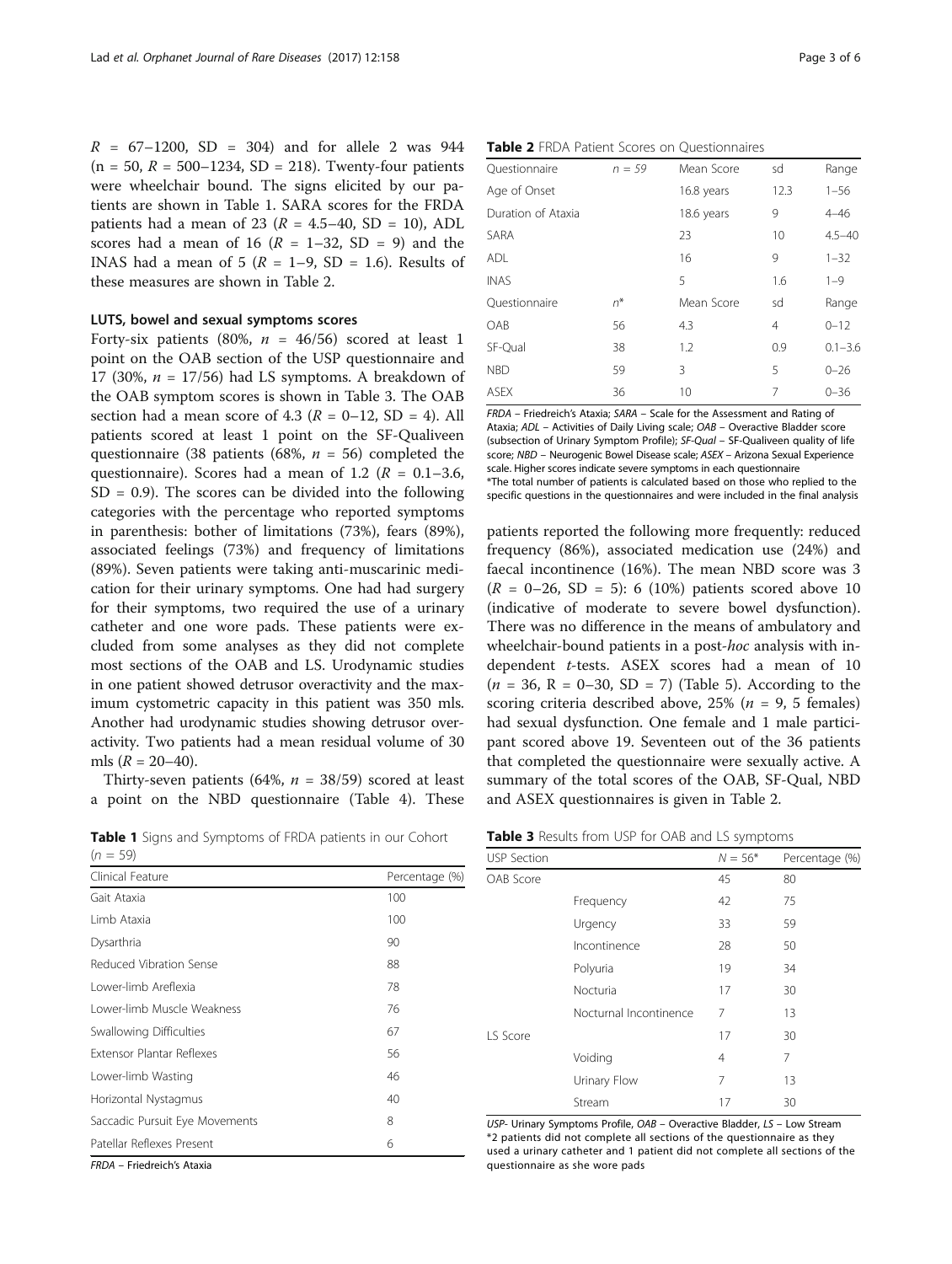$R = 67 - 1200$ , SD = 304) and for allele 2 was 944  $(n = 50, R = 500 - 1234, SD = 218)$ . Twenty-four patients were wheelchair bound. The signs elicited by our patients are shown in Table 1. SARA scores for the FRDA patients had a mean of 23 ( $R = 4.5-40$ , SD = 10), ADL scores had a mean of 16 ( $R = 1-32$ , SD = 9) and the INAS had a mean of 5 ( $R = 1-9$ , SD = 1.6). Results of these measures are shown in Table 2.

# LUTS, bowel and sexual symptoms scores

Forty-six patients (80%,  $n = 46/56$ ) scored at least 1 point on the OAB section of the USP questionnaire and 17 (30%,  $n = 17/56$ ) had LS symptoms. A breakdown of the OAB symptom scores is shown in Table 3. The OAB section had a mean score of 4.3 ( $R = 0-12$ , SD = 4). All patients scored at least 1 point on the SF-Qualiveen questionnaire (38 patients (68%,  $n = 56$ ) completed the questionnaire). Scores had a mean of 1.2 ( $R = 0.1 - 3.6$ ,  $SD = 0.9$ ). The scores can be divided into the following categories with the percentage who reported symptoms in parenthesis: bother of limitations (73%), fears (89%), associated feelings (73%) and frequency of limitations (89%). Seven patients were taking anti-muscarinic medication for their urinary symptoms. One had had surgery for their symptoms, two required the use of a urinary catheter and one wore pads. These patients were excluded from some analyses as they did not complete most sections of the OAB and LS. Urodynamic studies in one patient showed detrusor overactivity and the maximum cystometric capacity in this patient was 350 mls. Another had urodynamic studies showing detrusor overactivity. Two patients had a mean residual volume of 30 mls  $(R = 20-40)$ .

Thirty-seven patients (64%,  $n = 38/59$ ) scored at least a point on the NBD questionnaire (Table [4\)](#page-3-0). These

Table 1 Signs and Symptoms of FRDA patients in our Cohort  $(n = 59)$ 

| Clinical Feature                 | Percentage (%) |
|----------------------------------|----------------|
| Gait Ataxia                      | 100            |
| Limb Ataxia                      | 100            |
| Dysarthria                       | 90             |
| Reduced Vibration Sense          | 88             |
| Lower-limb Areflexia             | 78             |
| Lower-limb Muscle Weakness       | 76             |
| Swallowing Difficulties          | 67             |
| <b>Extensor Plantar Reflexes</b> | 56             |
| Lower-limb Wasting               | 46             |
| Horizontal Nystagmus             | 40             |
| Saccadic Pursuit Eye Movements   | 8              |
| Patellar Reflexes Present        | 6              |

FRDA – Friedreich's Ataxia

|  |  |  |  |  | <b>Table 2</b> FRDA Patient Scores on Questionnaires |
|--|--|--|--|--|------------------------------------------------------|
|--|--|--|--|--|------------------------------------------------------|

| Questionnaire      | $n = 59$ | Mean Score | sd             | Range       |
|--------------------|----------|------------|----------------|-------------|
| Age of Onset       |          | 16.8 years | 12.3           | $1 - 56$    |
| Duration of Ataxia |          | 18.6 years | 9              | $4 - 46$    |
| SARA               |          | 23         | 10             | $4.5 - 40$  |
| ADL                |          | 16         | 9              | $1 - 32$    |
| <b>INAS</b>        |          | 5          | 1.6            | $1 - 9$     |
| Ouestionnaire      | $n^*$    | Mean Score | sd             | Range       |
| OAB                | 56       | 4.3        | $\overline{4}$ | $0 - 12$    |
| SF-Qual            | 38       | 1.2        | 0.9            | $0.1 - 3.6$ |
| <b>NBD</b>         | 59       | 3          | 5              | $0 - 26$    |
| <b>ASEX</b>        | 36       | 10         | 7              | $0 - 36$    |

FRDA – Friedreich's Ataxia; SARA – Scale for the Assessment and Rating of Ataxia; ADL – Activities of Daily Living scale; OAB – Overactive Bladder score (subsection of Urinary Symptom Profile); SF-Qual – SF-Qualiveen quality of life score; NBD – Neurogenic Bowel Disease scale; ASEX – Arizona Sexual Experience scale. Higher scores indicate severe symptoms in each questionnaire \*The total number of patients is calculated based on those who replied to the specific questions in the questionnaires and were included in the final analysis

patients reported the following more frequently: reduced frequency (86%), associated medication use (24%) and faecal incontinence (16%). The mean NBD score was 3  $(R = 0-26, SD = 5)$ : 6 (10%) patients scored above 10 (indicative of moderate to severe bowel dysfunction). There was no difference in the means of ambulatory and wheelchair-bound patients in a post-hoc analysis with independent t-tests. ASEX scores had a mean of 10  $(n = 36, R = 0-30, SD = 7)$  (Table [5\)](#page-3-0). According to the scoring criteria described above,  $25\%$  ( $n = 9, 5$  females) had sexual dysfunction. One female and 1 male participant scored above 19. Seventeen out of the 36 patients that completed the questionnaire were sexually active. A summary of the total scores of the OAB, SF-Qual, NBD and ASEX questionnaires is given in Table 2.

Table 3 Results from USP for OAB and LS symptoms

| <b>USP Section</b> |                        | $N = 56*$ | Percentage (%) |
|--------------------|------------------------|-----------|----------------|
| OAB Score          |                        | 45        | 80             |
|                    | Frequency              | 42        | 75             |
|                    | Urgency                | 33        | 59             |
|                    | Incontinence           | 28        | 50             |
|                    | Polyuria               | 19        | 34             |
|                    | Nocturia               | 17        | 30             |
|                    | Nocturnal Incontinence | 7         | 13             |
| LS Score           |                        | 17        | 30             |
|                    | Voiding                | 4         | 7              |
|                    | Urinary Flow           | 7         | 13             |
|                    | Stream                 | 17        | 30             |

USP- Urinary Symptoms Profile, OAB – Overactive Bladder, LS – Low Stream \*2 patients did not complete all sections of the questionnaire as they used a urinary catheter and 1 patient did not complete all sections of the questionnaire as she wore pads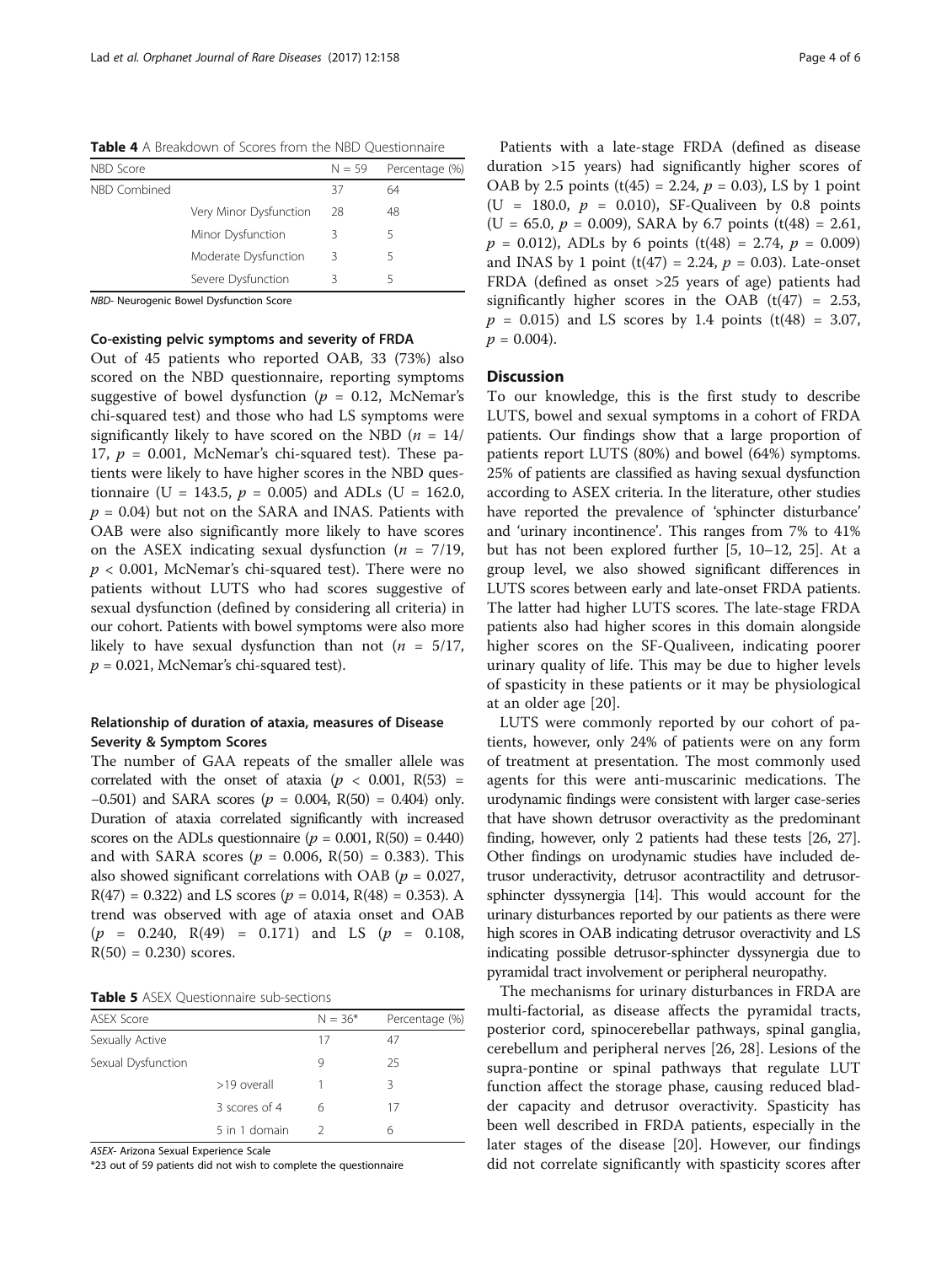<span id="page-3-0"></span>Table 4 A Breakdown of Scores from the NBD Questionnaire

| NBD Score    |                        | $N = 59$ | Percentage (%) |
|--------------|------------------------|----------|----------------|
| NBD Combined |                        | 37       | 64             |
|              | Very Minor Dysfunction | 28       | 48             |
|              | Minor Dysfunction      |          | 5              |
|              | Moderate Dysfunction   | 3        | 5              |
|              | Severe Dysfunction     | Β        | 5              |

NBD- Neurogenic Bowel Dysfunction Score

# Co-existing pelvic symptoms and severity of FRDA

Out of 45 patients who reported OAB, 33 (73%) also scored on the NBD questionnaire, reporting symptoms suggestive of bowel dysfunction ( $p = 0.12$ , McNemar's chi-squared test) and those who had LS symptoms were significantly likely to have scored on the NBD  $(n = 14)$ 17,  $p = 0.001$ , McNemar's chi-squared test). These patients were likely to have higher scores in the NBD questionnaire (U = 143.5,  $p = 0.005$ ) and ADLs (U = 162.0,  $p = 0.04$ ) but not on the SARA and INAS. Patients with OAB were also significantly more likely to have scores on the ASEX indicating sexual dysfunction ( $n = 7/19$ ,  $p < 0.001$ , McNemar's chi-squared test). There were no patients without LUTS who had scores suggestive of sexual dysfunction (defined by considering all criteria) in our cohort. Patients with bowel symptoms were also more likely to have sexual dysfunction than not ( $n = 5/17$ ,  $p = 0.021$ , McNemar's chi-squared test).

# Relationship of duration of ataxia, measures of Disease Severity & Symptom Scores

The number of GAA repeats of the smaller allele was correlated with the onset of ataxia ( $p < 0.001$ , R(53) = −0.501) and SARA scores ( $p = 0.004$ , R(50) = 0.404) only. Duration of ataxia correlated significantly with increased scores on the ADLs questionnaire ( $p = 0.001$ , R(50) = 0.440) and with SARA scores ( $p = 0.006$ , R(50) = 0.383). This also showed significant correlations with OAB ( $p = 0.027$ ,  $R(47) = 0.322$ ) and LS scores ( $p = 0.014$ ,  $R(48) = 0.353$ ). A trend was observed with age of ataxia onset and OAB  $(p = 0.240, R(49) = 0.171)$  and LS  $(p = 0.108,$  $R(50) = 0.230$  scores.

Table 5 ASEX Questionnaire sub-sections

| <b>ASEX Score</b>  |               | $N = 36*$ | Percentage (%) |
|--------------------|---------------|-----------|----------------|
| Sexually Active    |               | 17        | 47             |
| Sexual Dysfunction |               | 9         | 25             |
|                    | >19 overall   |           | 3              |
|                    | 3 scores of 4 | 6         | 17             |
|                    | 5 in 1 domain |           | 6              |

ASEX- Arizona Sexual Experience Scale

\*23 out of 59 patients did not wish to complete the questionnaire

Patients with a late-stage FRDA (defined as disease duration >15 years) had significantly higher scores of OAB by 2.5 points (t(45) = 2.24,  $p = 0.03$ ), LS by 1 point  $(U = 180.0, p = 0.010)$ , SF-Qualiveen by 0.8 points (U = 65.0,  $p = 0.009$ ), SARA by 6.7 points (t(48) = 2.61,  $p = 0.012$ , ADLs by 6 points (t(48) = 2.74,  $p = 0.009$ ) and INAS by 1 point (t(47) = 2.24,  $p = 0.03$ ). Late-onset FRDA (defined as onset >25 years of age) patients had significantly higher scores in the OAB  $(t(47) = 2.53)$ ,  $p = 0.015$ ) and LS scores by 1.4 points (t(48) = 3.07,  $p = 0.004$ .

# **Discussion**

To our knowledge, this is the first study to describe LUTS, bowel and sexual symptoms in a cohort of FRDA patients. Our findings show that a large proportion of patients report LUTS (80%) and bowel (64%) symptoms. 25% of patients are classified as having sexual dysfunction according to ASEX criteria. In the literature, other studies have reported the prevalence of 'sphincter disturbance' and 'urinary incontinence'. This ranges from 7% to 41% but has not been explored further [\[5, 10](#page-5-0)–[12, 25\]](#page-5-0). At a group level, we also showed significant differences in LUTS scores between early and late-onset FRDA patients. The latter had higher LUTS scores. The late-stage FRDA patients also had higher scores in this domain alongside higher scores on the SF-Qualiveen, indicating poorer urinary quality of life. This may be due to higher levels of spasticity in these patients or it may be physiological at an older age [[20\]](#page-5-0).

LUTS were commonly reported by our cohort of patients, however, only 24% of patients were on any form of treatment at presentation. The most commonly used agents for this were anti-muscarinic medications. The urodynamic findings were consistent with larger case-series that have shown detrusor overactivity as the predominant finding, however, only 2 patients had these tests [\[26, 27](#page-5-0)]. Other findings on urodynamic studies have included detrusor underactivity, detrusor acontractility and detrusorsphincter dyssynergia [\[14](#page-5-0)]. This would account for the urinary disturbances reported by our patients as there were high scores in OAB indicating detrusor overactivity and LS indicating possible detrusor-sphincter dyssynergia due to pyramidal tract involvement or peripheral neuropathy.

The mechanisms for urinary disturbances in FRDA are multi-factorial, as disease affects the pyramidal tracts, posterior cord, spinocerebellar pathways, spinal ganglia, cerebellum and peripheral nerves [[26, 28\]](#page-5-0). Lesions of the supra-pontine or spinal pathways that regulate LUT function affect the storage phase, causing reduced bladder capacity and detrusor overactivity. Spasticity has been well described in FRDA patients, especially in the later stages of the disease [\[20\]](#page-5-0). However, our findings did not correlate significantly with spasticity scores after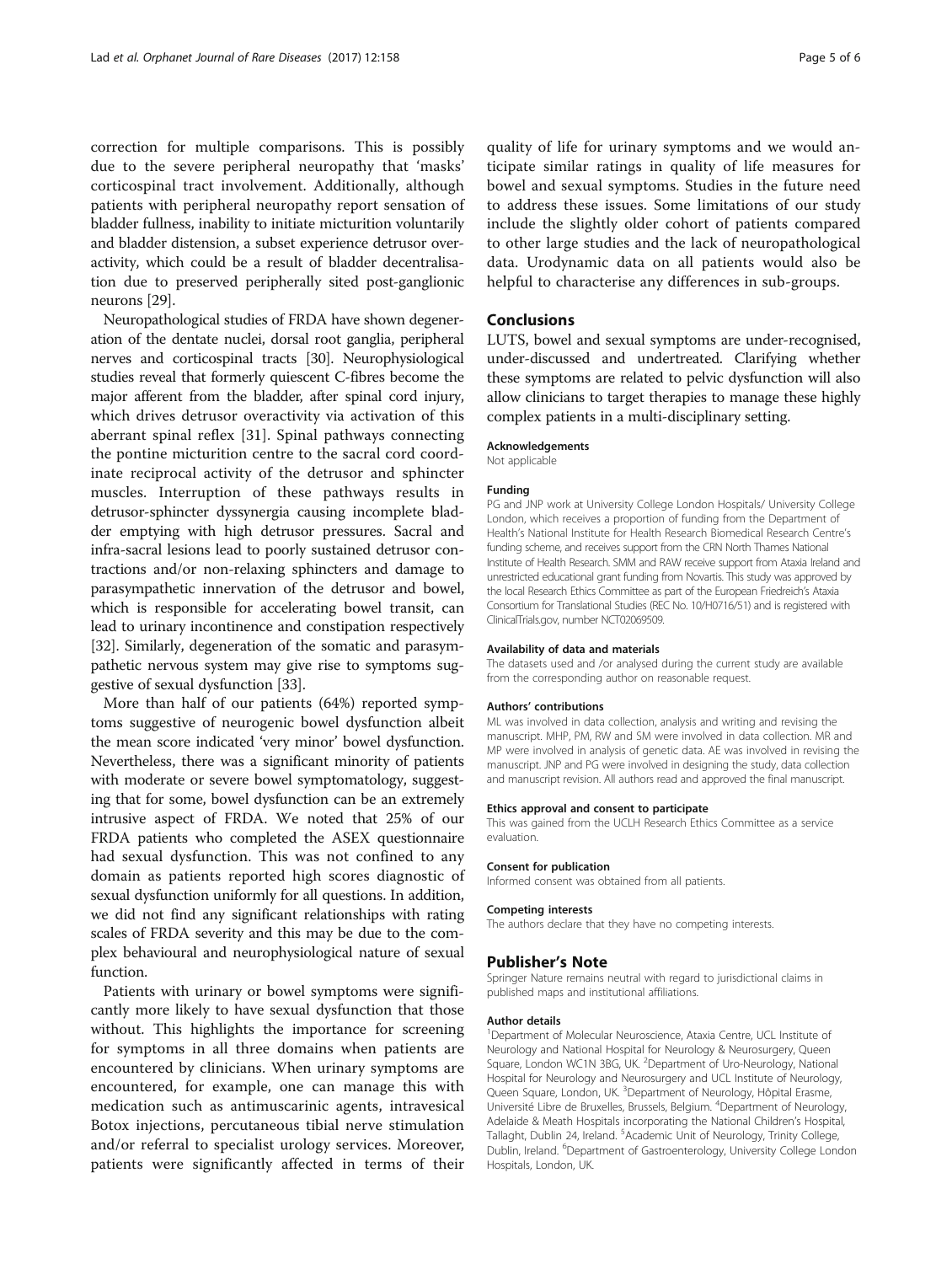correction for multiple comparisons. This is possibly due to the severe peripheral neuropathy that 'masks' corticospinal tract involvement. Additionally, although patients with peripheral neuropathy report sensation of bladder fullness, inability to initiate micturition voluntarily and bladder distension, a subset experience detrusor overactivity, which could be a result of bladder decentralisation due to preserved peripherally sited post-ganglionic neurons [[29\]](#page-5-0).

Neuropathological studies of FRDA have shown degeneration of the dentate nuclei, dorsal root ganglia, peripheral nerves and corticospinal tracts [\[30\]](#page-5-0). Neurophysiological studies reveal that formerly quiescent C-fibres become the major afferent from the bladder, after spinal cord injury, which drives detrusor overactivity via activation of this aberrant spinal reflex [[31\]](#page-5-0). Spinal pathways connecting the pontine micturition centre to the sacral cord coordinate reciprocal activity of the detrusor and sphincter muscles. Interruption of these pathways results in detrusor-sphincter dyssynergia causing incomplete bladder emptying with high detrusor pressures. Sacral and infra-sacral lesions lead to poorly sustained detrusor contractions and/or non-relaxing sphincters and damage to parasympathetic innervation of the detrusor and bowel, which is responsible for accelerating bowel transit, can lead to urinary incontinence and constipation respectively [[32](#page-5-0)]. Similarly, degeneration of the somatic and parasympathetic nervous system may give rise to symptoms suggestive of sexual dysfunction [\[33](#page-5-0)].

More than half of our patients (64%) reported symptoms suggestive of neurogenic bowel dysfunction albeit the mean score indicated 'very minor' bowel dysfunction. Nevertheless, there was a significant minority of patients with moderate or severe bowel symptomatology, suggesting that for some, bowel dysfunction can be an extremely intrusive aspect of FRDA. We noted that 25% of our FRDA patients who completed the ASEX questionnaire had sexual dysfunction. This was not confined to any domain as patients reported high scores diagnostic of sexual dysfunction uniformly for all questions. In addition, we did not find any significant relationships with rating scales of FRDA severity and this may be due to the complex behavioural and neurophysiological nature of sexual function.

Patients with urinary or bowel symptoms were significantly more likely to have sexual dysfunction that those without. This highlights the importance for screening for symptoms in all three domains when patients are encountered by clinicians. When urinary symptoms are encountered, for example, one can manage this with medication such as antimuscarinic agents, intravesical Botox injections, percutaneous tibial nerve stimulation and/or referral to specialist urology services. Moreover, patients were significantly affected in terms of their quality of life for urinary symptoms and we would anticipate similar ratings in quality of life measures for bowel and sexual symptoms. Studies in the future need to address these issues. Some limitations of our study include the slightly older cohort of patients compared to other large studies and the lack of neuropathological data. Urodynamic data on all patients would also be helpful to characterise any differences in sub-groups.

# Conclusions

LUTS, bowel and sexual symptoms are under-recognised, under-discussed and undertreated. Clarifying whether these symptoms are related to pelvic dysfunction will also allow clinicians to target therapies to manage these highly complex patients in a multi-disciplinary setting.

#### Acknowledgements

Not applicable

#### Funding

PG and JNP work at University College London Hospitals/ University College London, which receives a proportion of funding from the Department of Health's National Institute for Health Research Biomedical Research Centre's funding scheme, and receives support from the CRN North Thames National Institute of Health Research. SMM and RAW receive support from Ataxia Ireland and unrestricted educational grant funding from Novartis. This study was approved by the local Research Ethics Committee as part of the European Friedreich's Ataxia Consortium for Translational Studies (REC No. 10/H0716/51) and is registered with [ClinicalTrials.gov,](http://clinicaltrials.gov) number NCT02069509.

#### Availability of data and materials

The datasets used and /or analysed during the current study are available from the corresponding author on reasonable request.

#### Authors' contributions

ML was involved in data collection, analysis and writing and revising the manuscript. MHP, PM, RW and SM were involved in data collection. MR and MP were involved in analysis of genetic data. AE was involved in revising the manuscript. JNP and PG were involved in designing the study, data collection and manuscript revision. All authors read and approved the final manuscript.

#### Ethics approval and consent to participate

This was gained from the UCLH Research Ethics Committee as a service evaluation.

#### Consent for publication

Informed consent was obtained from all patients.

#### Competing interests

The authors declare that they have no competing interests.

#### Publisher's Note

Springer Nature remains neutral with regard to jurisdictional claims in published maps and institutional affiliations.

#### Author details

<sup>1</sup>Department of Molecular Neuroscience, Ataxia Centre, UCL Institute of Neurology and National Hospital for Neurology & Neurosurgery, Queen Square, London WC1N 3BG, UK. <sup>2</sup>Department of Uro-Neurology, National Hospital for Neurology and Neurosurgery and UCL Institute of Neurology, Queen Square, London, UK. <sup>3</sup>Department of Neurology, Hôpital Erasme Université Libre de Bruxelles, Brussels, Belgium. <sup>4</sup>Department of Neurology Adelaide & Meath Hospitals incorporating the National Children's Hospital, Tallaght, Dublin 24, Ireland. <sup>5</sup> Academic Unit of Neurology, Trinity College Dublin, Ireland. <sup>6</sup>Department of Gastroenterology, University College Londor Hospitals, London, UK.